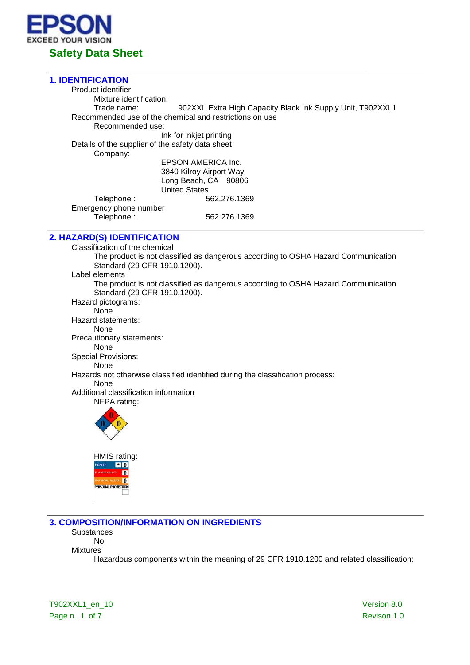

### **1. IDENTIFICATION**

Product identifier Mixture identification:<br>Trade name: 902XXL Extra High Capacity Black Ink Supply Unit, T902XXL1 Recommended use of the chemical and restrictions on use Recommended use: Ink for inkjet printing Details of the supplier of the safety data sheet Company: EPSON AMERICA Inc. 3840 Kilroy Airport Way Long Beach, CA 90806 United States Telephone : 662.276.1369 Emergency phone number<br>Telephone : Telephone : 562.276.1369

## **2. HAZARD(S) IDENTIFICATION**

Classification of the chemical The product is not classified as dangerous according to OSHA Hazard Communication Standard (29 CFR 1910.1200). Label elements The product is not classified as dangerous according to OSHA Hazard Communication Standard (29 CFR 1910.1200). Hazard pictograms: None Hazard statements: None Precautionary statements: None Special Provisions: None Hazards not otherwise classified identified during the classification process: None Additional classification information NFPA rating:



**3. COMPOSITION/INFORMATION ON INGREDIENTS**

**Substances** No

Mixtures

Hazardous components within the meaning of 29 CFR 1910.1200 and related classification:

T902XXL1\_en\_10 Version 8.0 Page n. 1 of 7 Revison 1.0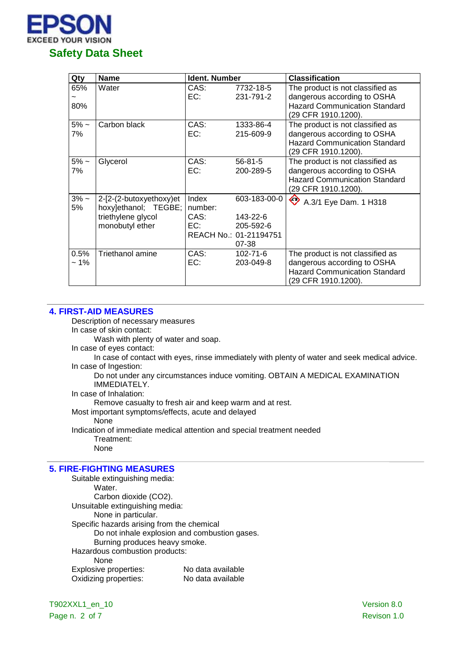

| Qty            | <b>Name</b>                                                                              | <b>Ident. Number</b>            |                                                                          | <b>Classification</b>                                                                                                          |
|----------------|------------------------------------------------------------------------------------------|---------------------------------|--------------------------------------------------------------------------|--------------------------------------------------------------------------------------------------------------------------------|
| 65%<br>80%     | Water                                                                                    | CAS:<br>EC:                     | 7732-18-5<br>231-791-2                                                   | The product is not classified as<br>dangerous according to OSHA<br><b>Hazard Communication Standard</b><br>(29 CFR 1910.1200). |
| $5% -$<br>7%   | Carbon black                                                                             | CAS:<br>EC:                     | 1333-86-4<br>215-609-9                                                   | The product is not classified as<br>dangerous according to OSHA<br><b>Hazard Communication Standard</b><br>(29 CFR 1910.1200). |
| $5\%$ ~<br>7%  | Glycerol                                                                                 | CAS:<br>EC:                     | $56 - 81 - 5$<br>200-289-5                                               | The product is not classified as<br>dangerous according to OSHA<br><b>Hazard Communication Standard</b><br>(29 CFR 1910.1200). |
| $3% -$<br>5%   | 2-[2-(2-butoxyethoxy)et<br>hoxy]ethanol; TEGBE;<br>triethylene glycol<br>monobutyl ether | Index<br>number:<br>CAS:<br>EC: | 603-183-00-0<br>143-22-6<br>205-592-6<br>REACH No.: 01-21194751<br>07-38 | ♦<br>A.3/1 Eye Dam. 1 H318                                                                                                     |
| 0.5%<br>$~1\%$ | <b>Triethanol amine</b>                                                                  | CAS:<br>EC:                     | $102 - 71 - 6$<br>203-049-8                                              | The product is not classified as<br>dangerous according to OSHA<br><b>Hazard Communication Standard</b><br>(29 CFR 1910.1200). |

## **4. FIRST-AID MEASURES**

Description of necessary measures

In case of skin contact:

Wash with plenty of water and soap.

In case of eyes contact:

In case of contact with eyes, rinse immediately with plenty of water and seek medical advice. In case of Ingestion:

Do not under any circumstances induce vomiting. OBTAIN A MEDICAL EXAMINATION IMMEDIATELY.

In case of Inhalation:

Remove casualty to fresh air and keep warm and at rest.

Most important symptoms/effects, acute and delayed

None

Indication of immediate medical attention and special treatment needed Treatment:

None

# **5. FIRE-FIGHTING MEASURES**

Suitable extinguishing media: Water. Carbon dioxide (CO2). Unsuitable extinguishing media: None in particular. Specific hazards arising from the chemical Do not inhale explosion and combustion gases. Burning produces heavy smoke. Hazardous combustion products: None Explosive properties: No data available Oxidizing properties: No data available

T902XXL1\_en\_10 Version 8.0 Page n. 2 of 7 Revison 1.0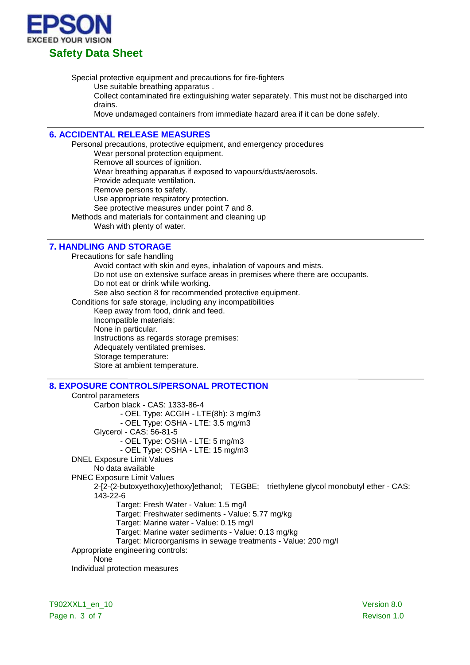

Special protective equipment and precautions for fire-fighters

Use suitable breathing apparatus .

Collect contaminated fire extinguishing water separately. This must not be discharged into drains.

Move undamaged containers from immediate hazard area if it can be done safely.

# **6. ACCIDENTAL RELEASE MEASURES**

Personal precautions, protective equipment, and emergency procedures

Wear personal protection equipment.

Remove all sources of ignition.

Wear breathing apparatus if exposed to vapours/dusts/aerosols.

Provide adequate ventilation.

Remove persons to safety.

Use appropriate respiratory protection.

See protective measures under point 7 and 8.

Methods and materials for containment and cleaning up

Wash with plenty of water.

# **7. HANDLING AND STORAGE**

Precautions for safe handling Avoid contact with skin and eyes, inhalation of vapours and mists. Do not use on extensive surface areas in premises where there are occupants. Do not eat or drink while working. See also section 8 for recommended protective equipment. Conditions for safe storage, including any incompatibilities Keep away from food, drink and feed. Incompatible materials: None in particular. Instructions as regards storage premises: Adequately ventilated premises. Storage temperature: Store at ambient temperature.

# **8. EXPOSURE CONTROLS/PERSONAL PROTECTION**

Control parameters Carbon black - CAS: 1333-86-4 - OEL Type: ACGIH - LTE(8h): 3 mg/m3 - OEL Type: OSHA - LTE: 3.5 mg/m3 Glycerol - CAS: 56-81-5 - OEL Type: OSHA - LTE: 5 mg/m3 - OEL Type: OSHA - LTE: 15 mg/m3 DNEL Exposure Limit Values No data available PNEC Exposure Limit Values 2-[2-(2-butoxyethoxy)ethoxy]ethanol; TEGBE; triethylene glycol monobutyl ether - CAS: 143-22-6 Target: Fresh Water - Value: 1.5 mg/l Target: Freshwater sediments - Value: 5.77 mg/kg Target: Marine water - Value: 0.15 mg/l Target: Marine water sediments - Value: 0.13 mg/kg Target: Microorganisms in sewage treatments - Value: 200 mg/l Appropriate engineering controls: None Individual protection measures

T902XXL1\_en\_10 Version 8.0 Page n. 3 of 7 Revison 1.0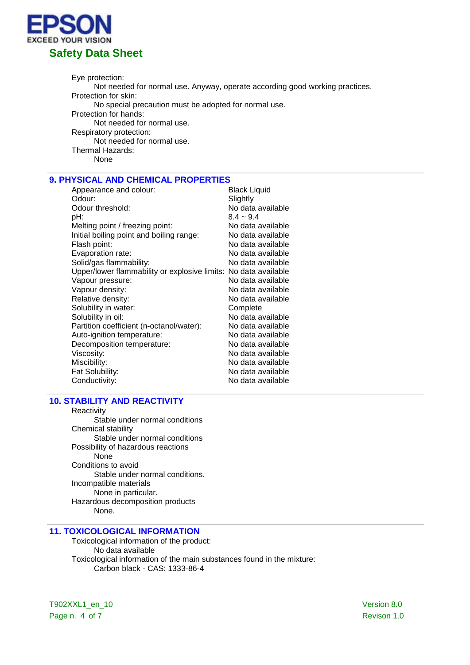

Eye protection: Not needed for normal use. Anyway, operate according good working practices. Protection for skin: No special precaution must be adopted for normal use. Protection for hands: Not needed for normal use. Respiratory protection: Not needed for normal use. Thermal Hazards: None

# **9. PHYSICAL AND CHEMICAL PROPERTIES**

| Appearance and colour:                                          | <b>Black Liquid</b> |
|-----------------------------------------------------------------|---------------------|
| Odour:                                                          | Slightly            |
| Odour threshold:                                                | No data available   |
| pH:                                                             | $8.4 - 9.4$         |
| Melting point / freezing point:                                 | No data available   |
| Initial boiling point and boiling range:                        | No data available   |
| Flash point:                                                    | No data available   |
| Evaporation rate:                                               | No data available   |
| Solid/gas flammability:                                         | No data available   |
| Upper/lower flammability or explosive limits: No data available |                     |
| Vapour pressure:                                                | No data available   |
| Vapour density:                                                 | No data available   |
| Relative density:                                               | No data available   |
| Solubility in water:                                            | Complete            |
| Solubility in oil:                                              | No data available   |
| Partition coefficient (n-octanol/water):                        | No data available   |
| Auto-ignition temperature:                                      | No data available   |
| Decomposition temperature:                                      | No data available   |
| Viscosity:                                                      | No data available   |
| Miscibility:                                                    | No data available   |
| Fat Solubility:                                                 | No data available   |
| Conductivity:                                                   | No data available   |

# **10. STABILITY AND REACTIVITY**

Reactivity Stable under normal conditions Chemical stability Stable under normal conditions Possibility of hazardous reactions None Conditions to avoid Stable under normal conditions. Incompatible materials None in particular. Hazardous decomposition products None.

# **11. TOXICOLOGICAL INFORMATION**

Toxicological information of the product: No data available Toxicological information of the main substances found in the mixture: Carbon black - CAS: 1333-86-4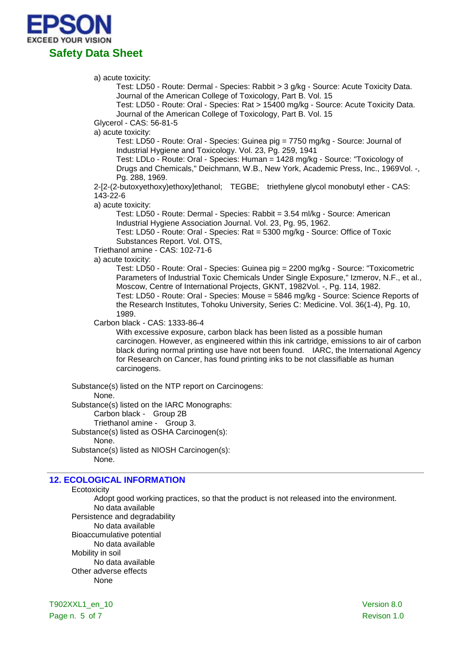

#### a) acute toxicity:

Test: LD50 - Route: Dermal - Species: Rabbit > 3 g/kg - Source: Acute Toxicity Data. Journal of the American College of Toxicology, Part B. Vol. 15

Test: LD50 - Route: Oral - Species: Rat > 15400 mg/kg - Source: Acute Toxicity Data. Journal of the American College of Toxicology, Part B. Vol. 15

Glycerol - CAS: 56-81-5

a) acute toxicity:

Test: LD50 - Route: Oral - Species: Guinea pig = 7750 mg/kg - Source: Journal of Industrial Hygiene and Toxicology. Vol. 23, Pg. 259, 1941

Test: LDLo - Route: Oral - Species: Human = 1428 mg/kg - Source: "Toxicology of Drugs and Chemicals," Deichmann, W.B., New York, Academic Press, Inc., 1969Vol. -, Pg. 288, 1969.

2-[2-(2-butoxyethoxy)ethoxy]ethanol; TEGBE; triethylene glycol monobutyl ether - CAS: 143-22-6

a) acute toxicity:

Test: LD50 - Route: Dermal - Species: Rabbit = 3.54 ml/kg - Source: American Industrial Hygiene Association Journal. Vol. 23, Pg. 95, 1962. Test: LD50 - Route: Oral - Species: Rat = 5300 mg/kg - Source: Office of Toxic

Substances Report. Vol. OTS,

Triethanol amine - CAS: 102-71-6

a) acute toxicity:

Test: LD50 - Route: Oral - Species: Guinea pig = 2200 mg/kg - Source: "Toxicometric Parameters of Industrial Toxic Chemicals Under Single Exposure," Izmerov, N.F., et al., Moscow, Centre of International Projects, GKNT, 1982Vol. -, Pg. 114, 1982. Test: LD50 - Route: Oral - Species: Mouse = 5846 mg/kg - Source: Science Reports of the Research Institutes, Tohoku University, Series C: Medicine. Vol. 36(1-4), Pg. 10, 1989.

Carbon black - CAS: 1333-86-4

With excessive exposure, carbon black has been listed as a possible human carcinogen. However, as engineered within this ink cartridge, emissions to air of carbon black during normal printing use have not been found. IARC, the International Agency for Research on Cancer, has found printing inks to be not classifiable as human carcinogens.

Substance(s) listed on the NTP report on Carcinogens:

#### None.

Substance(s) listed on the IARC Monographs:

Carbon black - Group 2B

Triethanol amine - Group 3.

Substance(s) listed as OSHA Carcinogen(s): None.

Substance(s) listed as NIOSH Carcinogen(s):

None.

# **12. ECOLOGICAL INFORMATION**

#### **Ecotoxicity**

Adopt good working practices, so that the product is not released into the environment. No data available

Persistence and degradability No data available Bioaccumulative potential No data available Mobility in soil No data available Other adverse effects None

T902XXL1\_en\_10 Version 8.0 Page n. 5 of 7 Revison 1.0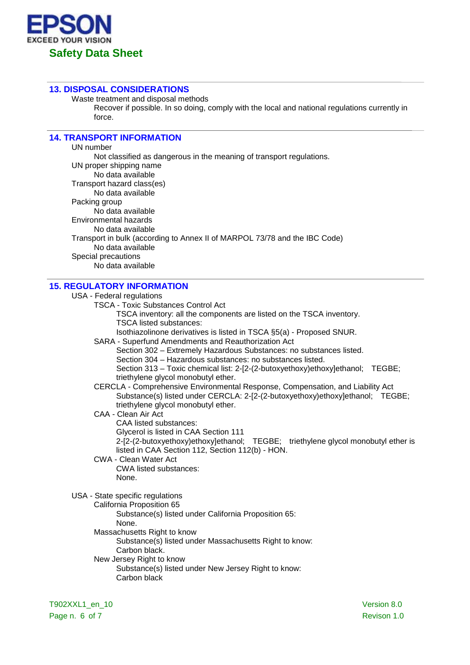

#### **13. DISPOSAL CONSIDERATIONS**

Waste treatment and disposal methods

Recover if possible. In so doing, comply with the local and national regulations currently in force.

# **14. TRANSPORT INFORMATION**

UN number Not classified as dangerous in the meaning of transport regulations. UN proper shipping name No data available Transport hazard class(es) No data available Packing group No data available Environmental hazards No data available Transport in bulk (according to Annex II of MARPOL 73/78 and the IBC Code) No data available Special precautions No data available

## **15. REGULATORY INFORMATION**

USA - Federal regulations

- TSCA Toxic Substances Control Act
	- TSCA inventory: all the components are listed on the TSCA inventory. TSCA listed substances:

Isothiazolinone derivatives is listed in TSCA §5(a) - Proposed SNUR.

- SARA Superfund Amendments and Reauthorization Act
	- Section 302 Extremely Hazardous Substances: no substances listed.

Section 304 – Hazardous substances: no substances listed.

Section 313 – Toxic chemical list: 2-[2-(2-butoxyethoxy)ethoxy]ethanol; TEGBE; triethylene glycol monobutyl ether.

- CERCLA Comprehensive Environmental Response, Compensation, and Liability Act Substance(s) listed under CERCLA: 2-[2-(2-butoxyethoxy)ethoxylethanol; TEGBE; triethylene glycol monobutyl ether.
- CAA Clean Air Act CAA listed substances: Glycerol is listed in CAA Section 111 2-[2-(2-butoxyethoxy)ethoxy]ethanol; TEGBE; triethylene glycol monobutyl ether is listed in CAA Section 112, Section 112(b) - HON.
- CWA Clean Water Act CWA listed substances: None.

USA - State specific regulations

California Proposition 65

Substance(s) listed under California Proposition 65: None.

Massachusetts Right to know

Substance(s) listed under Massachusetts Right to know: Carbon black.

New Jersey Right to know Substance(s) listed under New Jersey Right to know: Carbon black